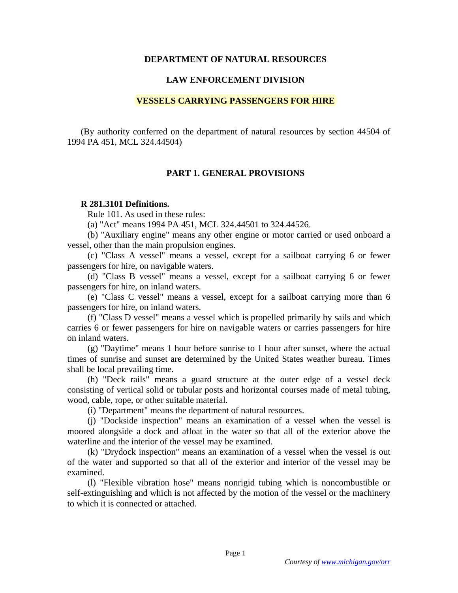## **DEPARTMENT OF NATURAL RESOURCES**

## **LAW ENFORCEMENT DIVISION**

### **VESSELS CARRYING PASSENGERS FOR HIRE**

(By authority conferred on the department of natural resources by section 44504 of 1994 PA 451, MCL 324.44504)

# **PART 1. GENERAL PROVISIONS**

#### **R 281.3101 Definitions.**

Rule 101. As used in these rules:

(a) "Act" means 1994 PA 451, MCL 324.44501 to 324.44526.

 (b) "Auxiliary engine" means any other engine or motor carried or used onboard a vessel, other than the main propulsion engines.

 (c) "Class A vessel" means a vessel, except for a sailboat carrying 6 or fewer passengers for hire, on navigable waters.

 (d) "Class B vessel" means a vessel, except for a sailboat carrying 6 or fewer passengers for hire, on inland waters.

 (e) "Class C vessel" means a vessel, except for a sailboat carrying more than 6 passengers for hire, on inland waters.

 (f) "Class D vessel" means a vessel which is propelled primarily by sails and which carries 6 or fewer passengers for hire on navigable waters or carries passengers for hire on inland waters.

 (g) "Daytime" means 1 hour before sunrise to 1 hour after sunset, where the actual times of sunrise and sunset are determined by the United States weather bureau. Times shall be local prevailing time.

 (h) "Deck rails" means a guard structure at the outer edge of a vessel deck consisting of vertical solid or tubular posts and horizontal courses made of metal tubing, wood, cable, rope, or other suitable material.

(i) "Department" means the department of natural resources.

 (j) "Dockside inspection" means an examination of a vessel when the vessel is moored alongside a dock and afloat in the water so that all of the exterior above the waterline and the interior of the vessel may be examined.

 (k) "Drydock inspection" means an examination of a vessel when the vessel is out of the water and supported so that all of the exterior and interior of the vessel may be examined.

 (l) "Flexible vibration hose" means nonrigid tubing which is noncombustible or self-extinguishing and which is not affected by the motion of the vessel or the machinery to which it is connected or attached.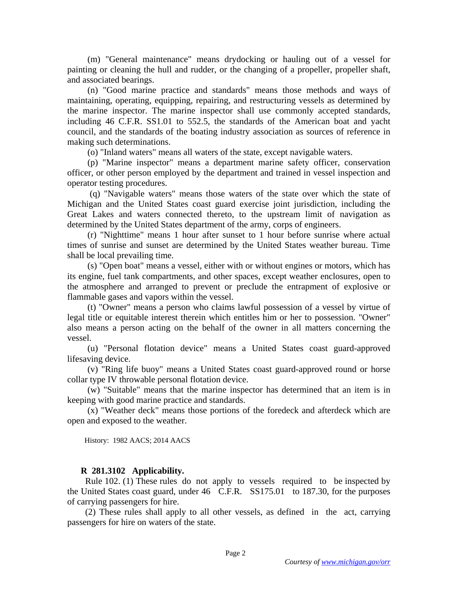(m) "General maintenance" means drydocking or hauling out of a vessel for painting or cleaning the hull and rudder, or the changing of a propeller, propeller shaft, and associated bearings.

 (n) "Good marine practice and standards" means those methods and ways of maintaining, operating, equipping, repairing, and restructuring vessels as determined by the marine inspector. The marine inspector shall use commonly accepted standards, including 46 C.F.R. SS1.01 to 552.5, the standards of the American boat and yacht council, and the standards of the boating industry association as sources of reference in making such determinations.

(o) "Inland waters" means all waters of the state, except navigable waters.

 (p) "Marine inspector" means a department marine safety officer, conservation officer, or other person employed by the department and trained in vessel inspection and operator testing procedures.

 (q) "Navigable waters" means those waters of the state over which the state of Michigan and the United States coast guard exercise joint jurisdiction, including the Great Lakes and waters connected thereto, to the upstream limit of navigation as determined by the United States department of the army, corps of engineers.

 (r) "Nighttime" means 1 hour after sunset to 1 hour before sunrise where actual times of sunrise and sunset are determined by the United States weather bureau. Time shall be local prevailing time.

 (s) "Open boat" means a vessel, either with or without engines or motors, which has its engine, fuel tank compartments, and other spaces, except weather enclosures, open to the atmosphere and arranged to prevent or preclude the entrapment of explosive or flammable gases and vapors within the vessel.

 (t) "Owner" means a person who claims lawful possession of a vessel by virtue of legal title or equitable interest therein which entitles him or her to possession. "Owner" also means a person acting on the behalf of the owner in all matters concerning the vessel.

 (u) "Personal flotation device" means a United States coast guard-approved lifesaving device.

 (v) "Ring life buoy" means a United States coast guard-approved round or horse collar type IV throwable personal flotation device.

 (w) "Suitable" means that the marine inspector has determined that an item is in keeping with good marine practice and standards.

 (x) "Weather deck" means those portions of the foredeck and afterdeck which are open and exposed to the weather.

History: 1982 AACS; 2014 AACS

### **R 281.3102 Applicability.**

 Rule 102. (1) These rules do not apply to vessels required to be inspected by the United States coast guard, under 46 C.F.R. SS175.01 to 187.30, for the purposes of carrying passengers for hire.

 (2) These rules shall apply to all other vessels, as defined in the act, carrying passengers for hire on waters of the state.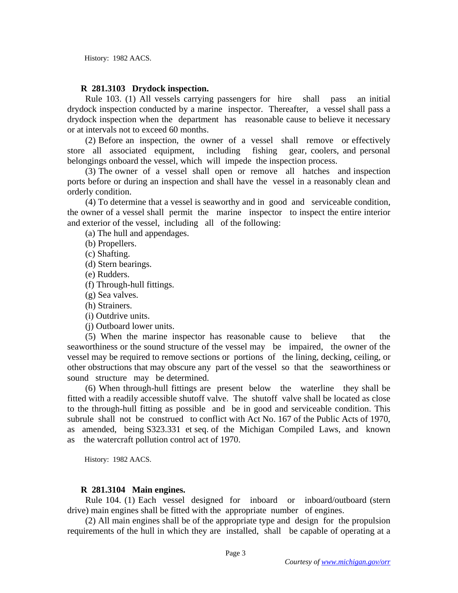History: 1982 AACS.

## **R 281.3103 Drydock inspection.**

 Rule 103. (1) All vessels carrying passengers for hire shall pass an initial drydock inspection conducted by a marine inspector. Thereafter, a vessel shall pass a drydock inspection when the department has reasonable cause to believe it necessary or at intervals not to exceed 60 months.

 (2) Before an inspection, the owner of a vessel shall remove or effectively store all associated equipment, including fishing gear, coolers, and personal belongings onboard the vessel, which will impede the inspection process.

 (3) The owner of a vessel shall open or remove all hatches and inspection ports before or during an inspection and shall have the vessel in a reasonably clean and orderly condition.

 (4) To determine that a vessel is seaworthy and in good and serviceable condition, the owner of a vessel shall permit the marine inspector to inspect the entire interior and exterior of the vessel, including all of the following:

(a) The hull and appendages.

(b) Propellers.

(c) Shafting.

(d) Stern bearings.

(e) Rudders.

(f) Through-hull fittings.

(g) Sea valves.

(h) Strainers.

(i) Outdrive units.

(j) Outboard lower units.

 (5) When the marine inspector has reasonable cause to believe that the seaworthiness or the sound structure of the vessel may be impaired, the owner of the vessel may be required to remove sections or portions of the lining, decking, ceiling, or other obstructions that may obscure any part of the vessel so that the seaworthiness or sound structure may be determined.

 (6) When through-hull fittings are present below the waterline they shall be fitted with a readily accessible shutoff valve. The shutoff valve shall be located as close to the through-hull fitting as possible and be in good and serviceable condition. This subrule shall not be construed to conflict with Act No. 167 of the Public Acts of 1970, as amended, being S323.331 et seq. of the Michigan Compiled Laws, and known as the watercraft pollution control act of 1970.

History: 1982 AACS.

## **R 281.3104 Main engines.**

 Rule 104. (1) Each vessel designed for inboard or inboard/outboard (stern drive) main engines shall be fitted with the appropriate number of engines.

 (2) All main engines shall be of the appropriate type and design for the propulsion requirements of the hull in which they are installed, shall be capable of operating at a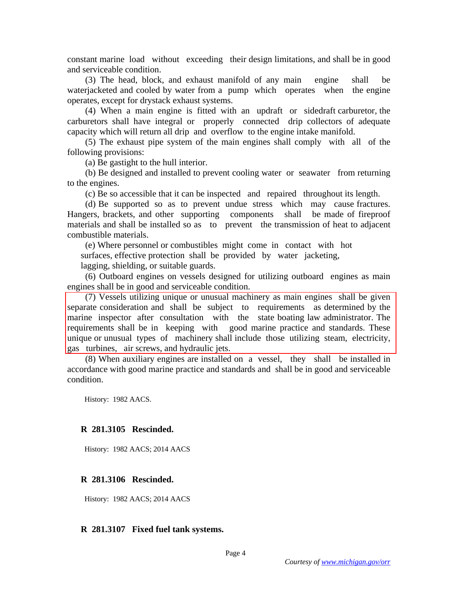constant marine load without exceeding their design limitations, and shall be in good and serviceable condition.

 (3) The head, block, and exhaust manifold of any main engine shall be waterjacketed and cooled by water from a pump which operates when the engine operates, except for drystack exhaust systems.

 (4) When a main engine is fitted with an updraft or sidedraft carburetor, the carburetors shall have integral or properly connected drip collectors of adequate capacity which will return all drip and overflow to the engine intake manifold.

 (5) The exhaust pipe system of the main engines shall comply with all of the following provisions:

(a) Be gastight to the hull interior.

 (b) Be designed and installed to prevent cooling water or seawater from returning to the engines.

(c) Be so accessible that it can be inspected and repaired throughout its length.

 (d) Be supported so as to prevent undue stress which may cause fractures. Hangers, brackets, and other supporting components shall be made of fireproof materials and shall be installed so as to prevent the transmission of heat to adjacent combustible materials.

(e) Where personnel or combustibles might come in contact with hot

surfaces, effective protection shall be provided by water jacketing,

lagging, shielding, or suitable guards.

 (6) Outboard engines on vessels designed for utilizing outboard engines as main engines shall be in good and serviceable condition.

 (7) Vessels utilizing unique or unusual machinery as main engines shall be given separate consideration and shall be subject to requirements as determined by the marine inspector after consultation with the state boating law administrator. The requirements shall be in keeping with good marine practice and standards. These unique or unusual types of machinery shall include those utilizing steam, electricity, gas turbines, air screws, and hydraulic jets.

 (8) When auxiliary engines are installed on a vessel, they shall be installed in accordance with good marine practice and standards and shall be in good and serviceable condition.

History: 1982 AACS.

### **R 281.3105 Rescinded.**

History: 1982 AACS; 2014 AACS

## **R 281.3106 Rescinded.**

History: 1982 AACS; 2014 AACS

### **R 281.3107 Fixed fuel tank systems.**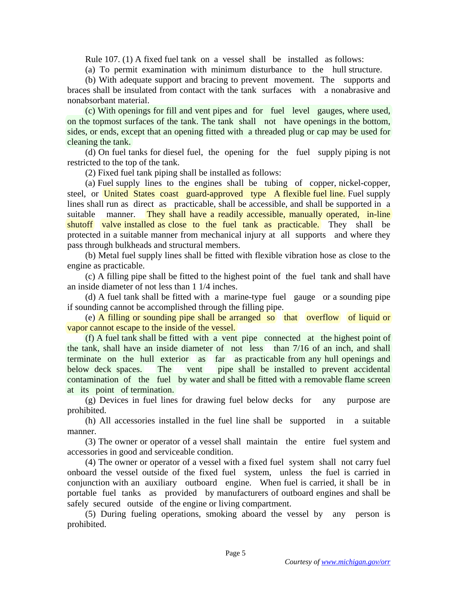Rule 107. (1) A fixed fuel tank on a vessel shall be installed as follows:

(a) To permit examination with minimum disturbance to the hull structure.

 (b) With adequate support and bracing to prevent movement. The supports and braces shall be insulated from contact with the tank surfaces with a nonabrasive and nonabsorbant material.

 (c) With openings for fill and vent pipes and for fuel level gauges, where used, on the topmost surfaces of the tank. The tank shall not have openings in the bottom, sides, or ends, except that an opening fitted with a threaded plug or cap may be used for cleaning the tank.

 (d) On fuel tanks for diesel fuel, the opening for the fuel supply piping is not restricted to the top of the tank.

(2) Fixed fuel tank piping shall be installed as follows:

 (a) Fuel supply lines to the engines shall be tubing of copper, nickel-copper, steel, or United States coast guard-approved type A flexible fuel line. Fuel supply lines shall run as direct as practicable, shall be accessible, and shall be supported in a suitable manner. They shall have a readily accessible, manually operated, in-line shutoff valve installed as close to the fuel tank as practicable. They shall be protected in a suitable manner from mechanical injury at all supports and where they pass through bulkheads and structural members.

 (b) Metal fuel supply lines shall be fitted with flexible vibration hose as close to the engine as practicable.

 (c) A filling pipe shall be fitted to the highest point of the fuel tank and shall have an inside diameter of not less than 1 1/4 inches.

 (d) A fuel tank shall be fitted with a marine-type fuel gauge or a sounding pipe if sounding cannot be accomplished through the filling pipe.

 (e) A filling or sounding pipe shall be arranged so that overflow of liquid or vapor cannot escape to the inside of the vessel.

 (f) A fuel tank shall be fitted with a vent pipe connected at the highest point of the tank, shall have an inside diameter of not less than 7/16 of an inch, and shall terminate on the hull exterior as far as practicable from any hull openings and below deck spaces. The vent pipe shall be installed to prevent accidental contamination of the fuel by water and shall be fitted with a removable flame screen at its point of termination.

 (g) Devices in fuel lines for drawing fuel below decks for any purpose are prohibited.

 (h) All accessories installed in the fuel line shall be supported in a suitable manner.

 (3) The owner or operator of a vessel shall maintain the entire fuel system and accessories in good and serviceable condition.

 (4) The owner or operator of a vessel with a fixed fuel system shall not carry fuel onboard the vessel outside of the fixed fuel system, unless the fuel is carried in conjunction with an auxiliary outboard engine. When fuel is carried, it shall be in portable fuel tanks as provided by manufacturers of outboard engines and shall be safely secured outside of the engine or living compartment.

 (5) During fueling operations, smoking aboard the vessel by any person is prohibited.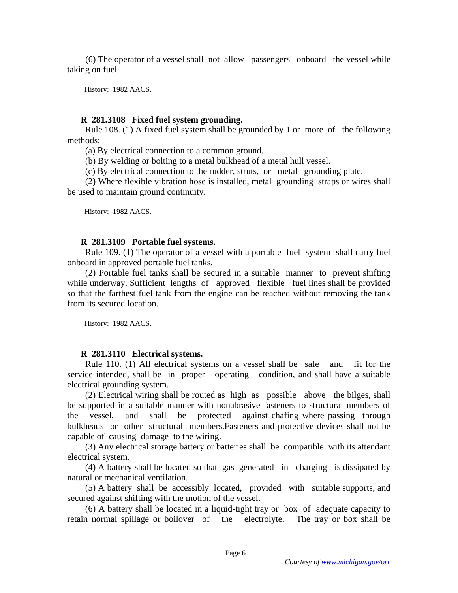(6) The operator of a vessel shall not allow passengers onboard the vessel while taking on fuel.

History: 1982 AACS.

#### **R 281.3108 Fixed fuel system grounding.**

 Rule 108. (1) A fixed fuel system shall be grounded by 1 or more of the following methods:

(a) By electrical connection to a common ground.

(b) By welding or bolting to a metal bulkhead of a metal hull vessel.

(c) By electrical connection to the rudder, struts, or metal grounding plate.

 (2) Where flexible vibration hose is installed, metal grounding straps or wires shall be used to maintain ground continuity.

History: 1982 AACS.

## **R 281.3109 Portable fuel systems.**

 Rule 109. (1) The operator of a vessel with a portable fuel system shall carry fuel onboard in approved portable fuel tanks.

 (2) Portable fuel tanks shall be secured in a suitable manner to prevent shifting while underway. Sufficient lengths of approved flexible fuel lines shall be provided so that the farthest fuel tank from the engine can be reached without removing the tank from its secured location.

History: 1982 AACS.

### **R 281.3110 Electrical systems.**

 Rule 110. (1) All electrical systems on a vessel shall be safe and fit for the service intended, shall be in proper operating condition, and shall have a suitable electrical grounding system.

 (2) Electrical wiring shall be routed as high as possible above the bilges, shall be supported in a suitable manner with nonabrasive fasteners to structural members of the vessel, and shall be protected against chafing where passing through bulkheads or other structural members.Fasteners and protective devices shall not be capable of causing damage to the wiring.

 (3) Any electrical storage battery or batteries shall be compatible with its attendant electrical system.

 (4) A battery shall be located so that gas generated in charging is dissipated by natural or mechanical ventilation.

 (5) A battery shall be accessibly located, provided with suitable supports, and secured against shifting with the motion of the vessel.

 (6) A battery shall be located in a liquid-tight tray or box of adequate capacity to retain normal spillage or boilover of the electrolyte. The tray or box shall be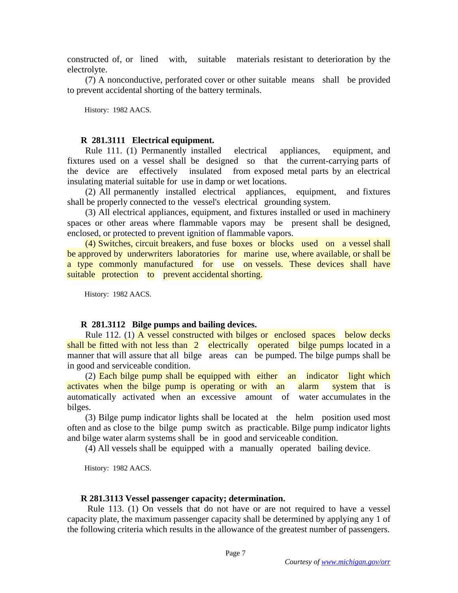constructed of, or lined with, suitable materials resistant to deterioration by the electrolyte.

 (7) A nonconductive, perforated cover or other suitable means shall be provided to prevent accidental shorting of the battery terminals.

History: 1982 AACS.

#### **R 281.3111 Electrical equipment.**

 Rule 111. (1) Permanently installed electrical appliances, equipment, and fixtures used on a vessel shall be designed so that the current-carrying parts of the device are effectively insulated from exposed metal parts by an electrical insulating material suitable for use in damp or wet locations.

 (2) All permanently installed electrical appliances, equipment, and fixtures shall be properly connected to the vessel's electrical grounding system.

 (3) All electrical appliances, equipment, and fixtures installed or used in machinery spaces or other areas where flammable vapors may be present shall be designed, enclosed, or protected to prevent ignition of flammable vapors.

 (4) Switches, circuit breakers, and fuse boxes or blocks used on a vessel shall be approved by underwriters laboratories for marine use, where available, or shall be a type commonly manufactured for use on vessels. These devices shall have suitable protection to prevent accidental shorting.

History: 1982 AACS.

#### **R 281.3112 Bilge pumps and bailing devices.**

 Rule 112. (1) A vessel constructed with bilges or enclosed spaces below decks shall be fitted with not less than 2 electrically operated bilge pumps located in a manner that will assure that all bilge areas can be pumped. The bilge pumps shall be in good and serviceable condition.

 (2) Each bilge pump shall be equipped with either an indicator light which activates when the bilge pump is operating or with an alarm system that is automatically activated when an excessive amount of water accumulates in the bilges.

 (3) Bilge pump indicator lights shall be located at the helm position used most often and as close to the bilge pump switch as practicable. Bilge pump indicator lights and bilge water alarm systems shall be in good and serviceable condition.

(4) All vessels shall be equipped with a manually operated bailing device.

History: 1982 AACS.

#### **R 281.3113 Vessel passenger capacity; determination.**

 Rule 113. (1) On vessels that do not have or are not required to have a vessel capacity plate, the maximum passenger capacity shall be determined by applying any 1 of the following criteria which results in the allowance of the greatest number of passengers.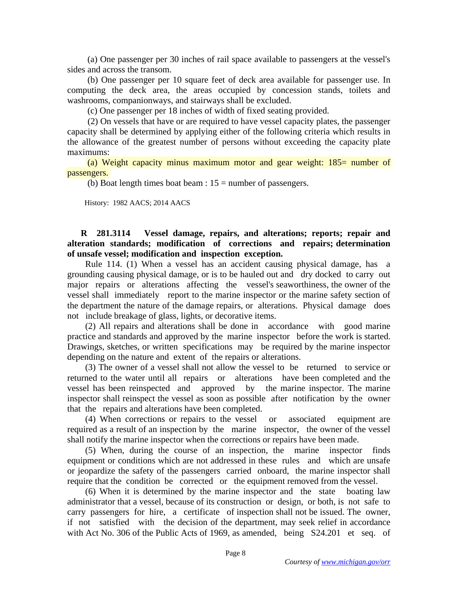(a) One passenger per 30 inches of rail space available to passengers at the vessel's sides and across the transom.

 (b) One passenger per 10 square feet of deck area available for passenger use. In computing the deck area, the areas occupied by concession stands, toilets and washrooms, companionways, and stairways shall be excluded.

(c) One passenger per 18 inches of width of fixed seating provided.

 (2) On vessels that have or are required to have vessel capacity plates, the passenger capacity shall be determined by applying either of the following criteria which results in the allowance of the greatest number of persons without exceeding the capacity plate maximums:

 (a) Weight capacity minus maximum motor and gear weight: 185= number of passengers.

(b) Boat length times boat beam :  $15 =$  number of passengers.

History: 1982 AACS; 2014 AACS

## **R 281.3114 Vessel damage, repairs, and alterations; reports; repair and alteration standards; modification of corrections and repairs; determination of unsafe vessel; modification and inspection exception.**

 Rule 114. (1) When a vessel has an accident causing physical damage, has a grounding causing physical damage, or is to be hauled out and dry docked to carry out major repairs or alterations affecting the vessel's seaworthiness, the owner of the vessel shall immediately report to the marine inspector or the marine safety section of the department the nature of the damage repairs, or alterations. Physical damage does not include breakage of glass, lights, or decorative items.

 (2) All repairs and alterations shall be done in accordance with good marine practice and standards and approved by the marine inspector before the work is started. Drawings, sketches, or written specifications may be required by the marine inspector depending on the nature and extent of the repairs or alterations.

 (3) The owner of a vessel shall not allow the vessel to be returned to service or returned to the water until all repairs or alterations have been completed and the vessel has been reinspected and approved by the marine inspector. The marine inspector shall reinspect the vessel as soon as possible after notification by the owner that the repairs and alterations have been completed.

 (4) When corrections or repairs to the vessel or associated equipment are required as a result of an inspection by the marine inspector, the owner of the vessel shall notify the marine inspector when the corrections or repairs have been made.

 (5) When, during the course of an inspection, the marine inspector finds equipment or conditions which are not addressed in these rules and which are unsafe or jeopardize the safety of the passengers carried onboard, the marine inspector shall require that the condition be corrected or the equipment removed from the vessel.

 (6) When it is determined by the marine inspector and the state boating law administrator that a vessel, because of its construction or design, or both, is not safe to carry passengers for hire, a certificate of inspection shall not be issued. The owner, if not satisfied with the decision of the department, may seek relief in accordance with Act No. 306 of the Public Acts of 1969, as amended, being S24.201 et seq. of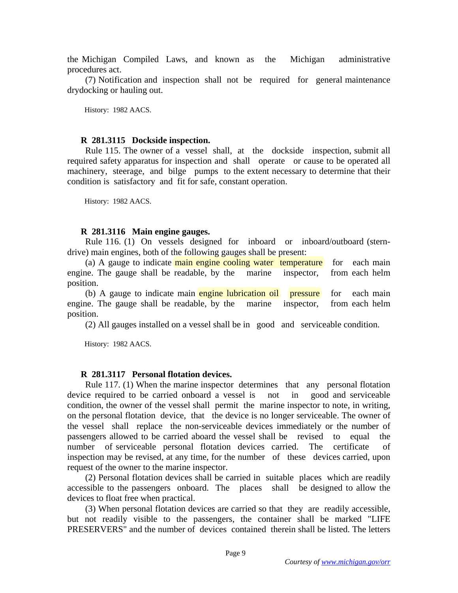the Michigan Compiled Laws, and known as the Michigan administrative procedures act.

 (7) Notification and inspection shall not be required for general maintenance drydocking or hauling out.

History: 1982 AACS.

## **R 281.3115 Dockside inspection.**

 Rule 115. The owner of a vessel shall, at the dockside inspection, submit all required safety apparatus for inspection and shall operate or cause to be operated all machinery, steerage, and bilge pumps to the extent necessary to determine that their condition is satisfactory and fit for safe, constant operation.

History: 1982 AACS.

## **R 281.3116 Main engine gauges.**

 Rule 116. (1) On vessels designed for inboard or inboard/outboard (sterndrive) main engines, both of the following gauges shall be present:

(a) A gauge to indicate main engine cooling water temperature for each main engine. The gauge shall be readable, by the marine inspector, from each helm position.

(b) A gauge to indicate main engine lubrication oil pressure for each main engine. The gauge shall be readable, by the marine inspector, from each helm position.

(2) All gauges installed on a vessel shall be in good and serviceable condition.

History: 1982 AACS.

## **R 281.3117 Personal flotation devices.**

 Rule 117. (1) When the marine inspector determines that any personal flotation device required to be carried onboard a vessel is not in good and serviceable condition, the owner of the vessel shall permit the marine inspector to note, in writing, on the personal flotation device, that the device is no longer serviceable. The owner of the vessel shall replace the non-serviceable devices immediately or the number of passengers allowed to be carried aboard the vessel shall be revised to equal the number of serviceable personal flotation devices carried. The certificate of inspection may be revised, at any time, for the number of these devices carried, upon request of the owner to the marine inspector.

 (2) Personal flotation devices shall be carried in suitable places which are readily accessible to the passengers onboard. The places shall be designed to allow the devices to float free when practical.

 (3) When personal flotation devices are carried so that they are readily accessible, but not readily visible to the passengers, the container shall be marked "LIFE PRESERVERS" and the number of devices contained therein shall be listed. The letters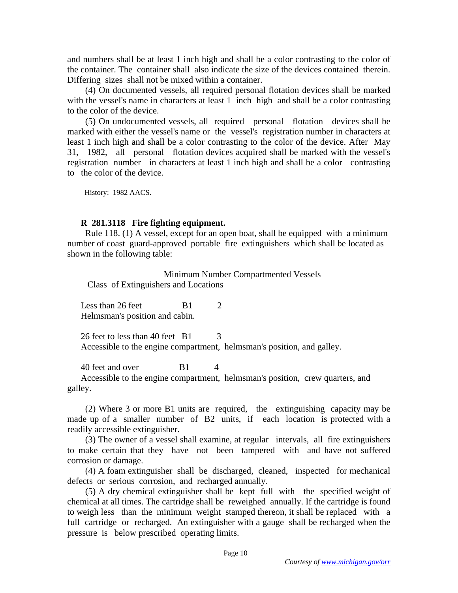and numbers shall be at least 1 inch high and shall be a color contrasting to the color of the container. The container shall also indicate the size of the devices contained therein. Differing sizes shall not be mixed within a container.

 (4) On documented vessels, all required personal flotation devices shall be marked with the vessel's name in characters at least 1 inch high and shall be a color contrasting to the color of the device.

 (5) On undocumented vessels, all required personal flotation devices shall be marked with either the vessel's name or the vessel's registration number in characters at least 1 inch high and shall be a color contrasting to the color of the device. After May 31, 1982, all personal flotation devices acquired shall be marked with the vessel's registration number in characters at least 1 inch high and shall be a color contrasting to the color of the device.

History: 1982 AACS.

#### **R 281.3118 Fire fighting equipment.**

 Rule 118. (1) A vessel, except for an open boat, shall be equipped with a minimum number of coast guard-approved portable fire extinguishers which shall be located as shown in the following table:

Minimum Number Compartmented Vessels

Class of Extinguishers and Locations

Less than  $26$  feet B1  $2$ Helmsman's position and cabin.

26 feet to less than  $40$  feet  $\overline{B1}$  3 Accessible to the engine compartment, helmsman's position, and galley.

40 feet and over B1 4

Accessible to the engine compartment, helmsman's position, crew quarters, and galley.

 (2) Where 3 or more B1 units are required, the extinguishing capacity may be made up of a smaller number of B2 units, if each location is protected with a readily accessible extinguisher.

 (3) The owner of a vessel shall examine, at regular intervals, all fire extinguishers to make certain that they have not been tampered with and have not suffered corrosion or damage.

 (4) A foam extinguisher shall be discharged, cleaned, inspected for mechanical defects or serious corrosion, and recharged annually.

 (5) A dry chemical extinguisher shall be kept full with the specified weight of chemical at all times. The cartridge shall be reweighed annually. If the cartridge is found to weigh less than the minimum weight stamped thereon, it shall be replaced with a full cartridge or recharged. An extinguisher with a gauge shall be recharged when the pressure is below prescribed operating limits.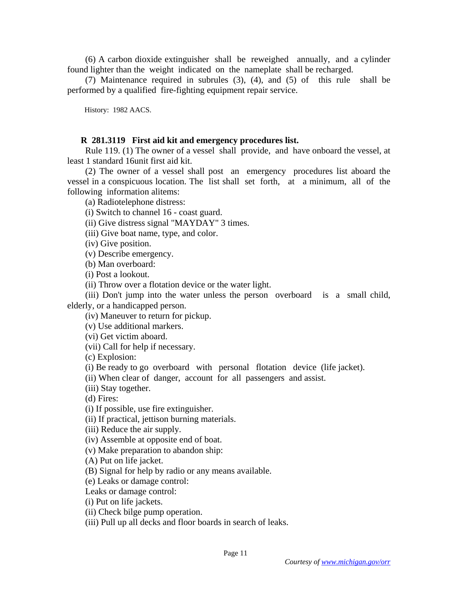(6) A carbon dioxide extinguisher shall be reweighed annually, and a cylinder found lighter than the weight indicated on the nameplate shall be recharged.

 (7) Maintenance required in subrules (3), (4), and (5) of this rule shall be performed by a qualified fire-fighting equipment repair service.

History: 1982 AACS.

## **R 281.3119 First aid kit and emergency procedures list.**

 Rule 119. (1) The owner of a vessel shall provide, and have onboard the vessel, at least 1 standard 16unit first aid kit.

 (2) The owner of a vessel shall post an emergency procedures list aboard the vessel in a conspicuous location. The list shall set forth, at a minimum, all of the following information alitems:

(a) Radiotelephone distress:

- (i) Switch to channel 16 coast guard.
- (ii) Give distress signal "MAYDAY" 3 times.

(iii) Give boat name, type, and color.

(iv) Give position.

(v) Describe emergency.

(b) Man overboard:

(i) Post a lookout.

(ii) Throw over a flotation device or the water light.

 (iii) Don't jump into the water unless the person overboard is a small child, elderly, or a handicapped person.

(iv) Maneuver to return for pickup.

(v) Use additional markers.

(vi) Get victim aboard.

(vii) Call for help if necessary.

(c) Explosion:

(i) Be ready to go overboard with personal flotation device (life jacket).

(ii) When clear of danger, account for all passengers and assist.

(iii) Stay together.

(d) Fires:

(i) If possible, use fire extinguisher.

(ii) If practical, jettison burning materials.

(iii) Reduce the air supply.

(iv) Assemble at opposite end of boat.

(v) Make preparation to abandon ship:

(A) Put on life jacket.

(B) Signal for help by radio or any means available.

(e) Leaks or damage control:

Leaks or damage control:

(i) Put on life jackets.

(ii) Check bilge pump operation.

(iii) Pull up all decks and floor boards in search of leaks.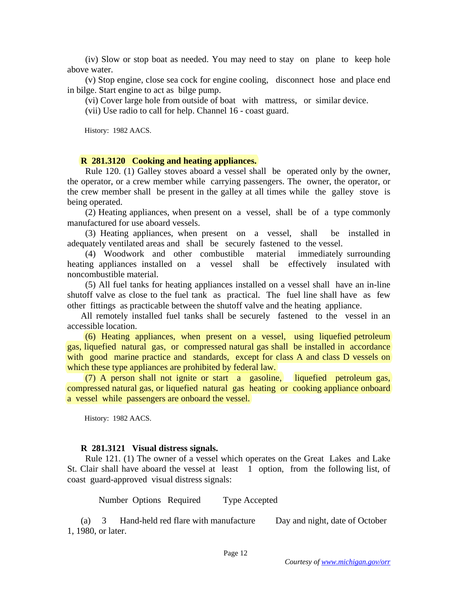(iv) Slow or stop boat as needed. You may need to stay on plane to keep hole above water.

 (v) Stop engine, close sea cock for engine cooling, disconnect hose and place end in bilge. Start engine to act as bilge pump.

(vi) Cover large hole from outside of boat with mattress, or similar device.

(vii) Use radio to call for help. Channel 16 - coast guard.

History: 1982 AACS.

#### **R 281.3120 Cooking and heating appliances.**

 Rule 120. (1) Galley stoves aboard a vessel shall be operated only by the owner, the operator, or a crew member while carrying passengers. The owner, the operator, or the crew member shall be present in the galley at all times while the galley stove is being operated.

 (2) Heating appliances, when present on a vessel, shall be of a type commonly manufactured for use aboard vessels.

 (3) Heating appliances, when present on a vessel, shall be installed in adequately ventilated areas and shall be securely fastened to the vessel.

 (4) Woodwork and other combustible material immediately surrounding heating appliances installed on a vessel shall be effectively insulated with noncombustible material.

 (5) All fuel tanks for heating appliances installed on a vessel shall have an in-line shutoff valve as close to the fuel tank as practical. The fuel line shall have as few other fittings as practicable between the shutoff valve and the heating appliance.

All remotely installed fuel tanks shall be securely fastened to the vessel in an accessible location.

 (6) Heating appliances, when present on a vessel, using liquefied petroleum gas, liquefied natural gas, or compressed natural gas shall be installed in accordance with good marine practice and standards, except for class A and class D vessels on which these type appliances are prohibited by federal law.

 (7) A person shall not ignite or start a gasoline, liquefied petroleum gas, compressed natural gas, or liquefied natural gas heating or cooking appliance onboard a vessel while passengers are onboard the vessel.

History: 1982 AACS.

#### **R 281.3121 Visual distress signals.**

 Rule 121. (1) The owner of a vessel which operates on the Great Lakes and Lake St. Clair shall have aboard the vessel at least 1 option, from the following list, of coast guard-approved visual distress signals:

Number Options Required Type Accepted

(a) 3 Hand-held red flare with manufacture Day and night, date of October 1, 1980, or later.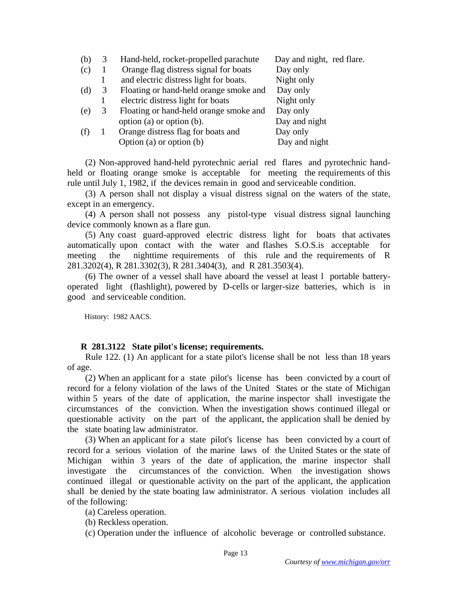| (b) |   | Hand-held, rocket-propelled parachute  | Day and night, red flare. |
|-----|---|----------------------------------------|---------------------------|
| (c) |   | Orange flag distress signal for boats  | Day only                  |
|     |   | and electric distress light for boats. | Night only                |
| (d) | 3 | Floating or hand-held orange smoke and | Day only                  |
|     |   | electric distress light for boats      | Night only                |
| (e) | 3 | Floating or hand-held orange smoke and | Day only                  |
|     |   | option (a) or option (b).              | Day and night             |
| (f) |   | Orange distress flag for boats and     | Day only                  |
|     |   | Option (a) or option $(b)$             | Day and night             |

 (2) Non-approved hand-held pyrotechnic aerial red flares and pyrotechnic handheld or floating orange smoke is acceptable for meeting the requirements of this rule until July 1, 1982, if the devices remain in good and serviceable condition.

 (3) A person shall not display a visual distress signal on the waters of the state, except in an emergency.

 (4) A person shall not possess any pistol-type visual distress signal launching device commonly known as a flare gun.

 (5) Any coast guard-approved electric distress light for boats that activates automatically upon contact with the water and flashes S.O.S.is acceptable for meeting the nighttime requirements of this rule and the requirements of R 281.3202(4), R 281.3302(3), R 281.3404(3), and R 281.3503(4).

 (6) The owner of a vessel shall have aboard the vessel at least l portable batteryoperated light (flashlight), powered by D-cells or larger-size batteries, which is in good and serviceable condition.

History: 1982 AACS.

## **R 281.3122 State pilot's license; requirements.**

 Rule 122. (1) An applicant for a state pilot's license shall be not less than 18 years of age.

 (2) When an applicant for a state pilot's license has been convicted by a court of record for a felony violation of the laws of the United States or the state of Michigan within 5 years of the date of application, the marine inspector shall investigate the circumstances of the conviction. When the investigation shows continued illegal or questionable activity on the part of the applicant, the application shall be denied by the state boating law administrator.

 (3) When an applicant for a state pilot's license has been convicted by a court of record for a serious violation of the marine laws of the United States or the state of Michigan within 3 years of the date of application, the marine inspector shall investigate the circumstances of the conviction. When the investigation shows continued illegal or questionable activity on the part of the applicant, the application shall be denied by the state boating law administrator. A serious violation includes all of the following:

(a) Careless operation.

- (b) Reckless operation.
- (c) Operation under the influence of alcoholic beverage or controlled substance.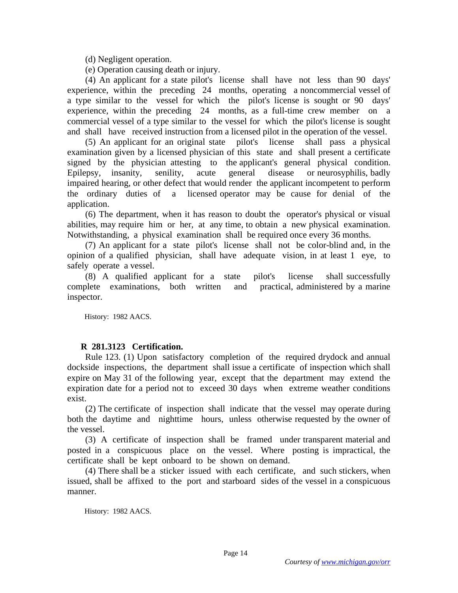(d) Negligent operation.

(e) Operation causing death or injury.

 (4) An applicant for a state pilot's license shall have not less than 90 days' experience, within the preceding 24 months, operating a noncommercial vessel of a type similar to the vessel for which the pilot's license is sought or 90 days' experience, within the preceding 24 months, as a full-time crew member on a commercial vessel of a type similar to the vessel for which the pilot's license is sought and shall have received instruction from a licensed pilot in the operation of the vessel.

 (5) An applicant for an original state pilot's license shall pass a physical examination given by a licensed physician of this state and shall present a certificate signed by the physician attesting to the applicant's general physical condition. Epilepsy, insanity, senility, acute general disease or neurosyphilis, badly impaired hearing, or other defect that would render the applicant incompetent to perform the ordinary duties of a licensed operator may be cause for denial of the application.

 (6) The department, when it has reason to doubt the operator's physical or visual abilities, may require him or her, at any time, to obtain a new physical examination. Notwithstanding, a physical examination shall be required once every 36 months.

 (7) An applicant for a state pilot's license shall not be color-blind and, in the opinion of a qualified physician, shall have adequate vision, in at least 1 eye, to safely operate a vessel.

 (8) A qualified applicant for a state pilot's license shall successfully complete examinations, both written and practical, administered by a marine inspector.

History: 1982 AACS.

# **R 281.3123 Certification.**

 Rule 123. (1) Upon satisfactory completion of the required drydock and annual dockside inspections, the department shall issue a certificate of inspection which shall expire on May 31 of the following year, except that the department may extend the expiration date for a period not to exceed 30 days when extreme weather conditions exist.

 (2) The certificate of inspection shall indicate that the vessel may operate during both the daytime and nighttime hours, unless otherwise requested by the owner of the vessel.

 (3) A certificate of inspection shall be framed under transparent material and posted in a conspicuous place on the vessel. Where posting is impractical, the certificate shall be kept onboard to be shown on demand.

 (4) There shall be a sticker issued with each certificate, and such stickers, when issued, shall be affixed to the port and starboard sides of the vessel in a conspicuous manner.

History: 1982 AACS.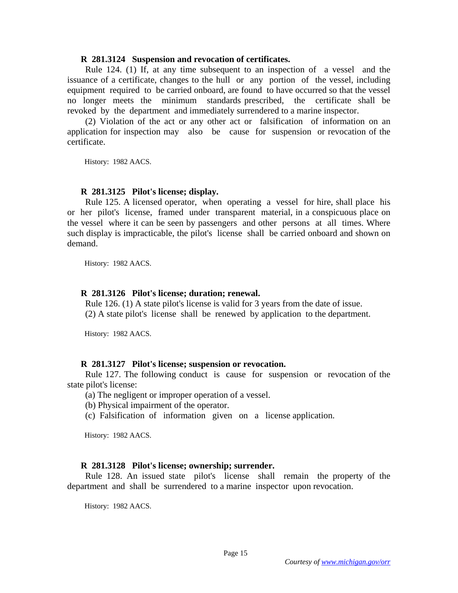#### **R 281.3124 Suspension and revocation of certificates.**

 Rule 124. (1) If, at any time subsequent to an inspection of a vessel and the issuance of a certificate, changes to the hull or any portion of the vessel, including equipment required to be carried onboard, are found to have occurred so that the vessel no longer meets the minimum standards prescribed, the certificate shall be revoked by the department and immediately surrendered to a marine inspector.

 (2) Violation of the act or any other act or falsification of information on an application for inspection may also be cause for suspension or revocation of the certificate.

History: 1982 AACS.

#### **R 281.3125 Pilot's license; display.**

 Rule 125. A licensed operator, when operating a vessel for hire, shall place his or her pilot's license, framed under transparent material, in a conspicuous place on the vessel where it can be seen by passengers and other persons at all times. Where such display is impracticable, the pilot's license shall be carried onboard and shown on demand.

History: 1982 AACS.

#### **R 281.3126 Pilot's license; duration; renewal.**

 Rule 126. (1) A state pilot's license is valid for 3 years from the date of issue. (2) A state pilot's license shall be renewed by application to the department.

History: 1982 AACS.

### **R 281.3127 Pilot's license; suspension or revocation.**

 Rule 127. The following conduct is cause for suspension or revocation of the state pilot's license:

(a) The negligent or improper operation of a vessel.

(b) Physical impairment of the operator.

(c) Falsification of information given on a license application.

History: 1982 AACS.

### **R 281.3128 Pilot's license; ownership; surrender.**

 Rule 128. An issued state pilot's license shall remain the property of the department and shall be surrendered to a marine inspector upon revocation.

History: 1982 AACS.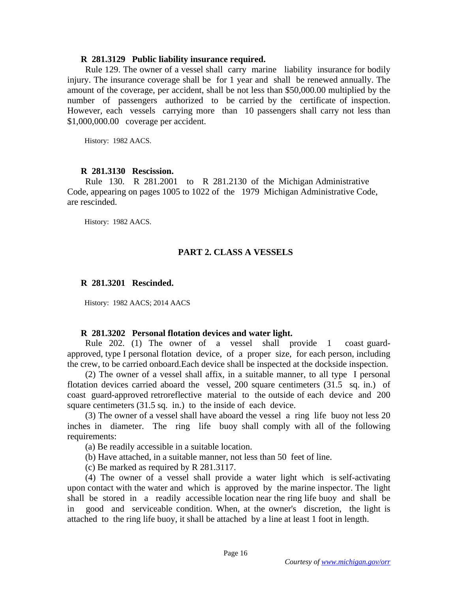#### **R 281.3129 Public liability insurance required.**

 Rule 129. The owner of a vessel shall carry marine liability insurance for bodily injury. The insurance coverage shall be for 1 year and shall be renewed annually. The amount of the coverage, per accident, shall be not less than \$50,000.00 multiplied by the number of passengers authorized to be carried by the certificate of inspection. However, each vessels carrying more than 10 passengers shall carry not less than \$1,000,000.00 coverage per accident.

History: 1982 AACS.

#### **R 281.3130 Rescission.**

 Rule 130. R 281.2001 to R 281.2130 of the Michigan Administrative Code, appearing on pages 1005 to 1022 of the 1979 Michigan Administrative Code, are rescinded.

History: 1982 AACS.

## **PART 2. CLASS A VESSELS**

#### **R 281.3201 Rescinded.**

History: 1982 AACS; 2014 AACS

#### **R 281.3202 Personal flotation devices and water light.**

 Rule 202. (1) The owner of a vessel shall provide 1 coast guardapproved, type I personal flotation device, of a proper size, for each person, including the crew, to be carried onboard.Each device shall be inspected at the dockside inspection.

 (2) The owner of a vessel shall affix, in a suitable manner, to all type I personal flotation devices carried aboard the vessel, 200 square centimeters (31.5 sq. in.) of coast guard-approved retroreflective material to the outside of each device and 200 square centimeters (31.5 sq. in.) to the inside of each device.

 (3) The owner of a vessel shall have aboard the vessel a ring life buoy not less 20 inches in diameter. The ring life buoy shall comply with all of the following requirements:

(a) Be readily accessible in a suitable location.

(b) Have attached, in a suitable manner, not less than 50 feet of line.

(c) Be marked as required by R 281.3117.

 (4) The owner of a vessel shall provide a water light which is self-activating upon contact with the water and which is approved by the marine inspector. The light shall be stored in a readily accessible location near the ring life buoy and shall be in good and serviceable condition. When, at the owner's discretion, the light is attached to the ring life buoy, it shall be attached by a line at least 1 foot in length.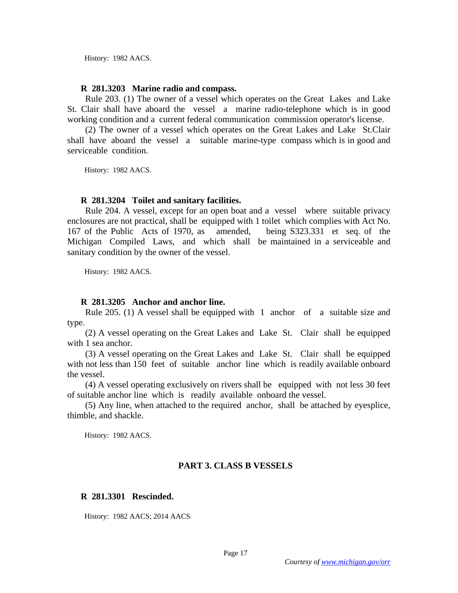History: 1982 AACS.

#### **R 281.3203 Marine radio and compass.**

 Rule 203. (1) The owner of a vessel which operates on the Great Lakes and Lake St. Clair shall have aboard the vessel a marine radio-telephone which is in good working condition and a current federal communication commission operator's license.

 (2) The owner of a vessel which operates on the Great Lakes and Lake St.Clair shall have aboard the vessel a suitable marine-type compass which is in good and serviceable condition.

History: 1982 AACS.

### **R 281.3204 Toilet and sanitary facilities.**

 Rule 204. A vessel, except for an open boat and a vessel where suitable privacy enclosures are not practical, shall be equipped with 1 toilet which complies with Act No. 167 of the Public Acts of 1970, as amended, being S323.331 et seq. of the Michigan Compiled Laws, and which shall be maintained in a serviceable and sanitary condition by the owner of the vessel.

History: 1982 AACS.

### **R 281.3205 Anchor and anchor line.**

 Rule 205. (1) A vessel shall be equipped with 1 anchor of a suitable size and type.

 (2) A vessel operating on the Great Lakes and Lake St. Clair shall be equipped with 1 sea anchor.

 (3) A vessel operating on the Great Lakes and Lake St. Clair shall be equipped with not less than 150 feet of suitable anchor line which is readily available onboard the vessel.

 (4) A vessel operating exclusively on rivers shall be equipped with not less 30 feet of suitable anchor line which is readily available onboard the vessel.

 (5) Any line, when attached to the required anchor, shall be attached by eyesplice, thimble, and shackle.

History: 1982 AACS.

## **PART 3. CLASS B VESSELS**

## **R 281.3301 Rescinded.**

History: 1982 AACS; 2014 AACS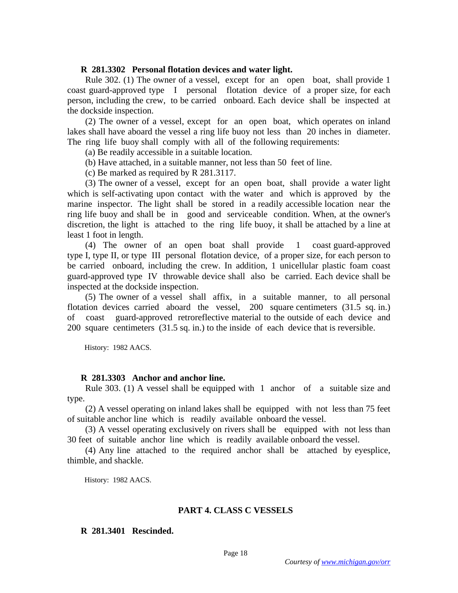### **R 281.3302 Personal flotation devices and water light.**

 Rule 302. (1) The owner of a vessel, except for an open boat, shall provide 1 coast guard-approved type I personal flotation device of a proper size, for each person, including the crew, to be carried onboard. Each device shall be inspected at the dockside inspection.

 (2) The owner of a vessel, except for an open boat, which operates on inland lakes shall have aboard the vessel a ring life buoy not less than 20 inches in diameter. The ring life buoy shall comply with all of the following requirements:

(a) Be readily accessible in a suitable location.

(b) Have attached, in a suitable manner, not less than 50 feet of line.

(c) Be marked as required by R 281.3117.

 (3) The owner of a vessel, except for an open boat, shall provide a water light which is self-activating upon contact with the water and which is approved by the marine inspector. The light shall be stored in a readily accessible location near the ring life buoy and shall be in good and serviceable condition. When, at the owner's discretion, the light is attached to the ring life buoy, it shall be attached by a line at least 1 foot in length.

 (4) The owner of an open boat shall provide 1 coast guard-approved type I, type II, or type III personal flotation device, of a proper size, for each person to be carried onboard, including the crew. In addition, 1 unicellular plastic foam coast guard-approved type IV throwable device shall also be carried. Each device shall be inspected at the dockside inspection.

 (5) The owner of a vessel shall affix, in a suitable manner, to all personal flotation devices carried aboard the vessel, 200 square centimeters (31.5 sq. in.) of coast guard-approved retroreflective material to the outside of each device and 200 square centimeters (31.5 sq. in.) to the inside of each device that is reversible.

History: 1982 AACS.

#### **R 281.3303 Anchor and anchor line.**

 Rule 303. (1) A vessel shall be equipped with 1 anchor of a suitable size and type.

 (2) A vessel operating on inland lakes shall be equipped with not less than 75 feet of suitable anchor line which is readily available onboard the vessel.

 (3) A vessel operating exclusively on rivers shall be equipped with not less than 30 feet of suitable anchor line which is readily available onboard the vessel.

 (4) Any line attached to the required anchor shall be attached by eyesplice, thimble, and shackle.

History: 1982 AACS.

#### **PART 4. CLASS C VESSELS**

# **R 281.3401 Rescinded.**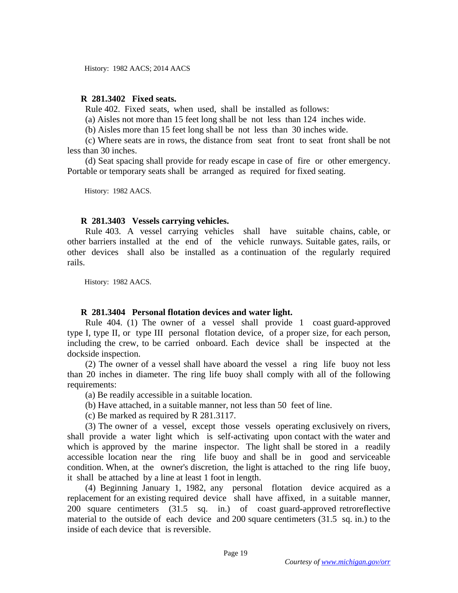History: 1982 AACS; 2014 AACS

## **R 281.3402 Fixed seats.**

Rule 402. Fixed seats, when used, shall be installed as follows:

(a) Aisles not more than 15 feet long shall be not less than 124 inches wide.

(b) Aisles more than 15 feet long shall be not less than 30 inches wide.

 (c) Where seats are in rows, the distance from seat front to seat front shall be not less than 30 inches.

 (d) Seat spacing shall provide for ready escape in case of fire or other emergency. Portable or temporary seats shall be arranged as required for fixed seating.

History: 1982 AACS.

#### **R 281.3403 Vessels carrying vehicles.**

 Rule 403. A vessel carrying vehicles shall have suitable chains, cable, or other barriers installed at the end of the vehicle runways. Suitable gates, rails, or other devices shall also be installed as a continuation of the regularly required rails.

History: 1982 AACS.

### **R 281.3404 Personal flotation devices and water light.**

 Rule 404. (1) The owner of a vessel shall provide 1 coast guard-approved type I, type II, or type III personal flotation device, of a proper size, for each person, including the crew, to be carried onboard. Each device shall be inspected at the dockside inspection.

 (2) The owner of a vessel shall have aboard the vessel a ring life buoy not less than 20 inches in diameter. The ring life buoy shall comply with all of the following requirements:

(a) Be readily accessible in a suitable location.

(b) Have attached, in a suitable manner, not less than 50 feet of line.

(c) Be marked as required by R 281.3117.

 (3) The owner of a vessel, except those vessels operating exclusively on rivers, shall provide a water light which is self-activating upon contact with the water and which is approved by the marine inspector. The light shall be stored in a readily accessible location near the ring life buoy and shall be in good and serviceable condition. When, at the owner's discretion, the light is attached to the ring life buoy, it shall be attached by a line at least 1 foot in length.

 (4) Beginning January 1, 1982, any personal flotation device acquired as a replacement for an existing required device shall have affixed, in a suitable manner, 200 square centimeters (31.5 sq. in.) of coast guard-approved retroreflective material to the outside of each device and 200 square centimeters (31.5 sq. in.) to the inside of each device that is reversible.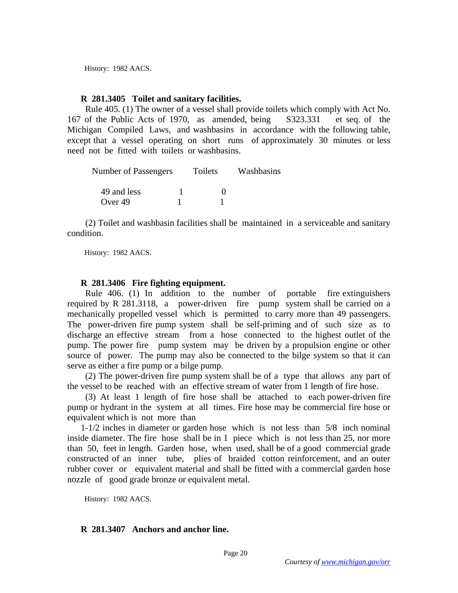History: 1982 AACS.

#### **R 281.3405 Toilet and sanitary facilities.**

 Rule 405. (1) The owner of a vessel shall provide toilets which comply with Act No. 167 of the Public Acts of 1970, as amended, being S323.331 et seq. of the Michigan Compiled Laws, and washbasins in accordance with the following table, except that a vessel operating on short runs of approximately 30 minutes or less need not be fitted with toilets or washbasins.

| Number of Passengers   | Toilets | Washbasins |
|------------------------|---------|------------|
| 49 and less<br>Over 49 |         |            |

 (2) Toilet and washbasin facilities shall be maintained in a serviceable and sanitary condition.

History: 1982 AACS.

### **R 281.3406 Fire fighting equipment.**

 Rule 406. (1) In addition to the number of portable fire extinguishers required by R 281.3118, a power-driven fire pump system shall be carried on a mechanically propelled vessel which is permitted to carry more than 49 passengers. The power-driven fire pump system shall be self-priming and of such size as to discharge an effective stream from a hose connected to the highest outlet of the pump. The power fire pump system may be driven by a propulsion engine or other source of power. The pump may also be connected to the bilge system so that it can serve as either a fire pump or a bilge pump.

 (2) The power-driven fire pump system shall be of a type that allows any part of the vessel to be reached with an effective stream of water from 1 length of fire hose.

 (3) At least 1 length of fire hose shall be attached to each power-driven fire pump or hydrant in the system at all times. Fire hose may be commercial fire hose or equivalent which is not more than

1-1/2 inches in diameter or garden hose which is not less than 5/8 inch nominal inside diameter. The fire hose shall be in 1 piece which is not less than 25, nor more than 50, feet in length. Garden hose, when used, shall be of a good commercial grade constructed of an inner tube, plies of braided cotton reinforcement, and an outer rubber cover or equivalent material and shall be fitted with a commercial garden hose nozzle of good grade bronze or equivalent metal.

History: 1982 AACS.

### **R 281.3407 Anchors and anchor line.**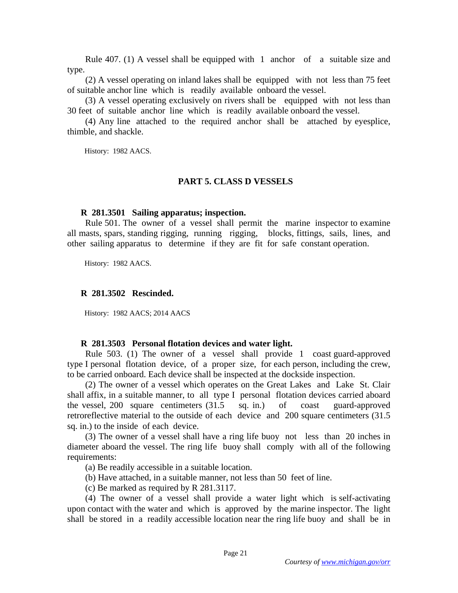Rule 407. (1) A vessel shall be equipped with 1 anchor of a suitable size and type.

 (2) A vessel operating on inland lakes shall be equipped with not less than 75 feet of suitable anchor line which is readily available onboard the vessel.

 (3) A vessel operating exclusively on rivers shall be equipped with not less than 30 feet of suitable anchor line which is readily available onboard the vessel.

 (4) Any line attached to the required anchor shall be attached by eyesplice, thimble, and shackle.

History: 1982 AACS.

#### **PART 5. CLASS D VESSELS**

#### **R 281.3501 Sailing apparatus; inspection.**

 Rule 501. The owner of a vessel shall permit the marine inspector to examine all masts, spars, standing rigging, running rigging, blocks, fittings, sails, lines, and other sailing apparatus to determine if they are fit for safe constant operation.

History: 1982 AACS.

#### **R 281.3502 Rescinded.**

History: 1982 AACS; 2014 AACS

#### **R 281.3503 Personal flotation devices and water light.**

 Rule 503. (1) The owner of a vessel shall provide 1 coast guard-approved type I personal flotation device, of a proper size, for each person, including the crew, to be carried onboard. Each device shall be inspected at the dockside inspection.

 (2) The owner of a vessel which operates on the Great Lakes and Lake St. Clair shall affix, in a suitable manner, to all type I personal flotation devices carried aboard the vessel, 200 square centimeters (31.5 sq. in.) of coast guard-approved retroreflective material to the outside of each device and 200 square centimeters (31.5 sq. in.) to the inside of each device.

 (3) The owner of a vessel shall have a ring life buoy not less than 20 inches in diameter aboard the vessel. The ring life buoy shall comply with all of the following requirements:

(a) Be readily accessible in a suitable location.

(b) Have attached, in a suitable manner, not less than 50 feet of line.

(c) Be marked as required by R 281.3117.

 (4) The owner of a vessel shall provide a water light which is self-activating upon contact with the water and which is approved by the marine inspector. The light shall be stored in a readily accessible location near the ring life buoy and shall be in